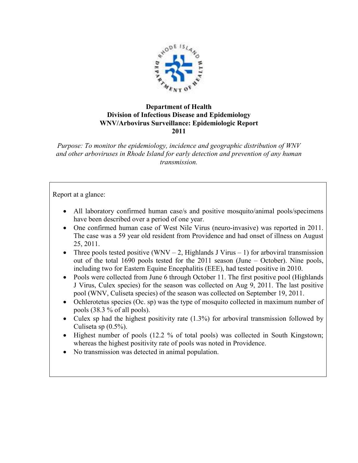

## **Department of Health Division of Infectious Disease and Epidemiology WNV/Arbovirus Surveillance: Epidemiologic Report 2011**

*Purpose: To monitor the epidemiology, incidence and geographic distribution of WNV and other arboviruses in Rhode Island for early detection and prevention of any human transmission.* 

Report at a glance:

- All laboratory confirmed human case/s and positive mosquito/animal pools/specimens have been described over a period of one year.
- One confirmed human case of West Nile Virus (neuro-invasive) was reported in 2011. The case was a 59 year old resident from Providence and had onset of illness on August 25, 2011.
- Three pools tested positive (WNV 2, Highlands J Virus 1) for arboviral transmission out of the total 1690 pools tested for the 2011 season (June – October). Nine pools, including two for Eastern Equine Encephalitis (EEE), had tested positive in 2010.
- Pools were collected from June 6 through October 11. The first positive pool (Highlands J Virus, Culex species) for the season was collected on Aug 9, 2011. The last positive pool (WNV, Culiseta species) of the season was collected on September 19, 2011.
- Ochlerotetus species (Oc. sp) was the type of mosquito collected in maximum number of pools (38.3 % of all pools).
- Culex sp had the highest positivity rate (1.3%) for arboviral transmission followed by Culiseta sp (0.5%).
- Highest number of pools (12.2 % of total pools) was collected in South Kingstown; whereas the highest positivity rate of pools was noted in Providence.
- No transmission was detected in animal population.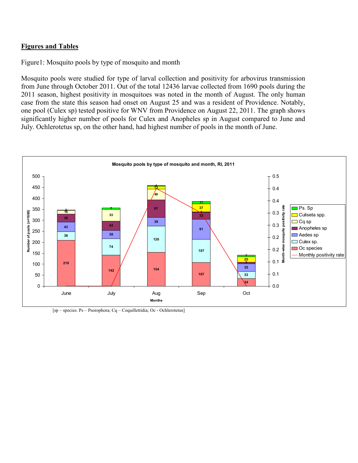## **Figures and Tables**

Figure1: Mosquito pools by type of mosquito and month

Mosquito pools were studied for type of larval collection and positivity for arbovirus transmission from June through October 2011. Out of the total 12436 larvae collected from 1690 pools during the 2011 season, highest positivity in mosquitoes was noted in the month of August. The only human case from the state this season had onset on August 25 and was a resident of Providence. Notably, one pool (Culex sp) tested positive for WNV from Providence on August 22, 2011. The graph shows significantly higher number of pools for Culex and Anopheles sp in August compared to June and July. Ochlerotetus sp, on the other hand, had highest number of pools in the month of June.



[sp – species. Ps – Psorophora; Cq – Coquillettidia; Oc - Ochlerotetus]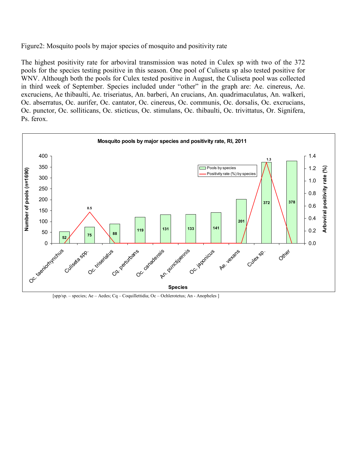Figure2: Mosquito pools by major species of mosquito and positivity rate

The highest positivity rate for arboviral transmission was noted in Culex sp with two of the 372 pools for the species testing positive in this season. One pool of Culiseta sp also tested positive for WNV. Although both the pools for Culex tested positive in August, the Culiseta pool was collected in third week of September. Species included under "other" in the graph are: Ae. cinereus, Ae. excruciens, Ae thibaulti, Ae. triseriatus, An. barberi, An crucians, An. quadrimaculatus, An. walkeri, Oc. abserratus, Oc. aurifer, Oc. cantator, Oc. cinereus, Oc. communis, Oc. dorsalis, Oc. excrucians, Oc. punctor, Oc. solliticans, Oc. sticticus, Oc. stimulans, Oc. thibaulti, Oc. trivittatus, Or. Signifera, Ps. ferox.



[spp/sp. – species; Ae – Aedes; Cq – Coquillettidia; Oc – Ochlerotetus; An - Anopheles ]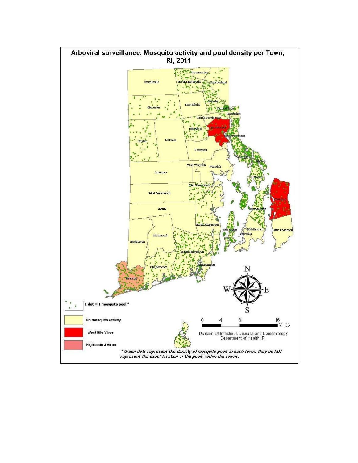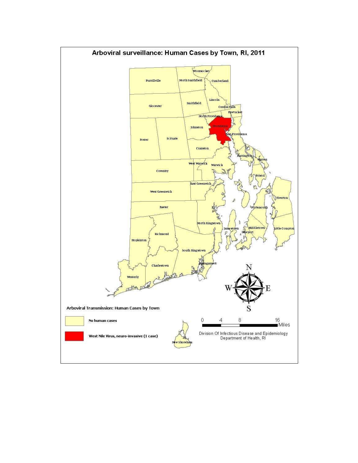